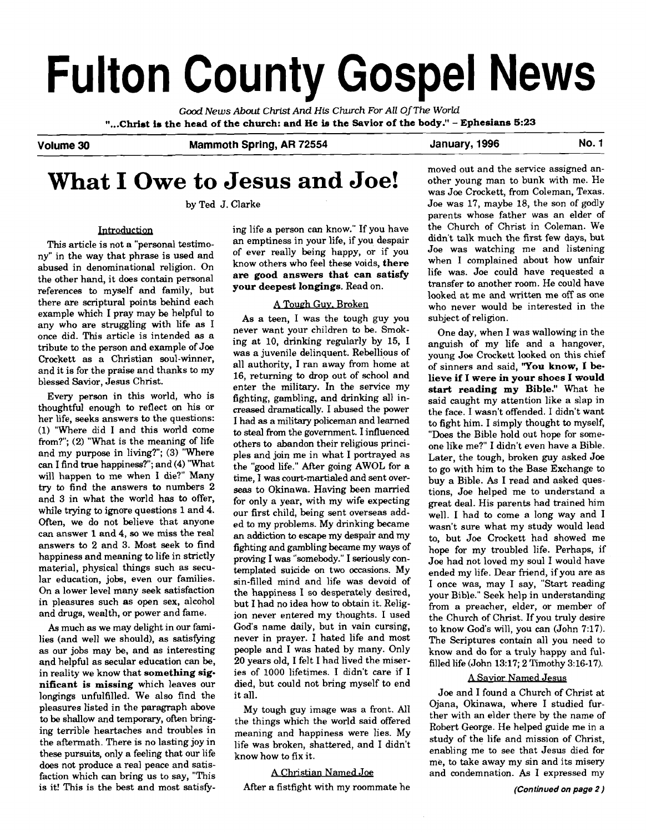# **Fulton County Gospel News**

Good *News About* **Christ** *And* **His Church** *For All* **OfThe** *World*  "...Christ is the head of the church: and He is the Savior of the body." - Ephesians 5:23

Volume 30 Mammoth Spring, AR 72554 January, 1996 Mo. 1

# **What I Owe to Jesus and Joe!**

by Ted J. Clarke

#### Introduction

This article is not a "personal testimony" in the way that phrase is used and abused in denominational religion. On the other hand, it does contain personal references to myself and family, but there are scriptural points behind each example which I pray may be helpful to any who are struggling with life as I once did. This article is intended **as** a tribute to the person and example of Joe Crockett as a Christian soul-winner, and it is for the praise and thanks to my blessed Savior, Jesus Christ.

Every person in this world, who is thoughtful enough to reflect on his or her life, seeks answers to the questions: (1) "Where did I and this world come from?"; (2) "What is the meaning of life and my purpose in living?"; (3) "Where can I find true happiness?"; and (4) "What will happen to me when I die?" Many try to find the answers to numbers 2 and 3 in what the world has to offer, while trying to ignore questions 1 and 4. Often, we do not believe that anyone can answer **1** and 4, so we miss the real answers to 2 and 3. Most seek to find happiness and meaning to life in strictly material, physical things such as secular education, jobs, even our families. On a lower level many seek satisfaction in pleasures such **as** open sex, alcohol and drugs, wealth, or power and fame.

**As** much as we may delight in our **fami**lies (and well we should), as satisfying as our jobs may be, and as interesting and helpful as secular education can be, in reality we know that **something significant is missing** which leaves our longings unfulfilled. We also find the pleasures listed in the paragraph above to be shallow and temporary, often bringing terrible heartaches and troubles in the aftermath. There is no lasting joy in these pursuits, only a feeling that our life does not produce a real peace and satisfaction which can bring us to say. "This is it! This is the best and most satisfy-<br>After a fistfight with my roommate he **(Continued on page 2)** 

ing life a person can know." If you have an emptiness in your life, if you despair of ever really being happy, or if you know others who feel these voids, **there are good answers that can satisfy your deepest longings.** Read on.

#### **A** Toueh **Guv.** Broken

As a teen, I was the tough guy you never want your children to be. Smoking at 10, drinking regularly by 15, I was a juvenile delinquent. Rebellious of all authority, I ran away from home at 16, returning to drop out of school and enter the military. In the service my fighting, gambling, and drinking all increased dramatically. I abused the power I had **as** a military policeman and learned to steal from the government. I influenced others to abandon their religious principles and join me in what I portrayed as the "good life." After going AWOL for a time, I was court-martialed and sent over**seas** to Okinawa. Having been married for only a year, with my wife expecting our first child, being sent overseas added to my problems. My drinking became an addiction to escape my despair and my fighting and gambling became my ways of proving I was "somebody." I seriously contemplated suicide on two occasions. My sin-filled mind and life was devoid of the happiness I so desperately desired, but I had no idea how to obtain it. Religion never entered my thoughts. I used God's name daily, but in vain cursing, never in prayer. I hated life and most people and I was hated by many. Only 20 years old, I felt I had lived the miseries of 1000 lifetimes. I didn't care if I died, but could not bring myself to end it all.

My tough guy image was a front. All the things which the world said offered meaning and happiness were lies. My life was broken, shattered, and I didn't know how to fix it.

## **A** Christian Named Joe

moved out and the service assigned an-<br>other young man to bunk with me. He was Joe Crockett, from Coleman, Texas. Joe was 17, maybe 18, the son of godly parents whose father was an elder of the Church of Christ in Coleman. We didn't talk much the first few days, but Joe was watching me and listening when I complained about how unfair life was. Joe could have requested a transfer to another room. He could have looked at me and written me **off** as one who never would be interested in the subject of religion.

One day, when I was wallowing in the anguish of my life and a hangover, young Joe Crockett looked on this chief of sinners and said, **'You know,** I **believe if I were in your shoes I would start reading my Bible."** What he said caught my attention like a slap in the face. I wasn't offended. I didn't want to fight him. I simply thought to myself, "Does the Bible hold out hope for someone like me?" I didn't even have a Bible. Later, the tough, broken guy asked Joe to go with him to the Base Exchange to buy a Bible. As I read and asked questions, Joe helped me to understand a great deal. His parents had trained him well. I had to come a long way and I wasn't sure what my study would lead **to,** but Joe Crockett had showed me hope for my troubled life. Perhaps, if Joe had not loved my soul I would have ended my life. Dear friend, if you are as I once was, may I say, "Start reading your Bible." Seek help in understanding from a preacher, elder, or member of the Church of Christ. If you truly desire to know God's will, you can (John 7:17). The Scriptures contain all you need to know and do for a truly happy and fulfilled life (John 13:17; 2 Timothy 3:16-17).

#### A Savior Named Jesus

Joe and I found a Church of Christ at Ojana, Okinawa, where I studied further with an elder there by the name of Robert George. He helped guide me in a study of the life and mission of Christ, enabling me to see that Jesus died for me, to take away my sin and its misery and condemnation. As I expressed my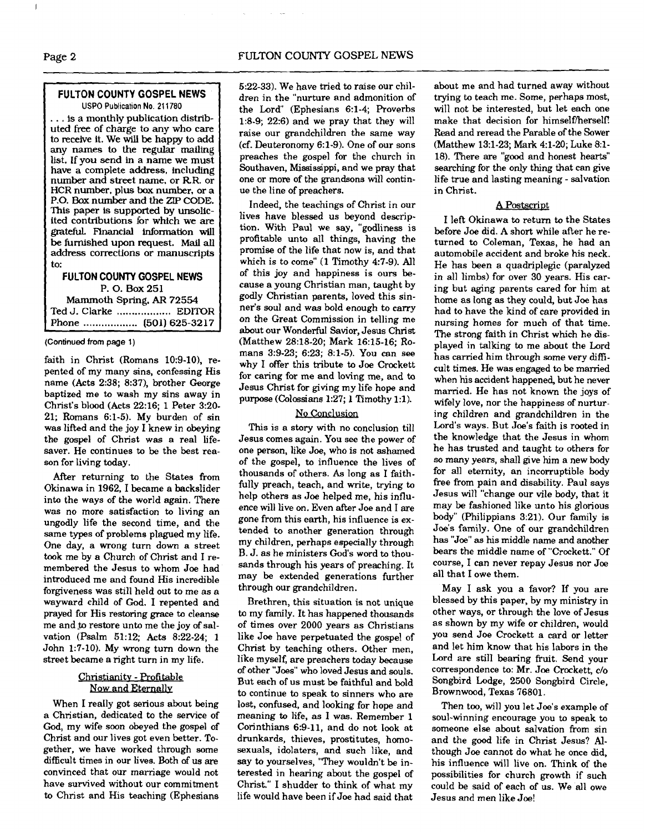#### **FULTON COUNTY GOSPEL NEWS USPO Publication No. 211780**

. . . is a monthly publication distributed free of charge to any who care to receive it. We will be happy to add any names to the regular mailing list. If you send in a name we must have a complete address, including number and street name, or RR. or HCR number, plus box number, or a P.O. Box number and the ZIP CODE. This paper is supported by **unsollc**ited contributions for which we are grateful. Fhancial information will be furnished upon request. Mail all address corrections or manuscripts to:

#### **FULTON COUNTY GOSPEL NEWS**  P. 0. Box 251 Mammoth Spring. **AR** 72554 Ted J. Clarke .................. EDITOR Phone ..... . . . . . .. . .. . .. (501) 625-3217

#### **(Continued from** page 1)

faith in Christ (Romans  $10:9-10$ ), repented of my many sins, confessing His name (Acts 2:38; 8:37), brother George baptized me to wash my sins away in Christ's blood (Acts 22:16; 1 Peter 3:20- 21; Romans 6:l-5). My burden of sin was lifted and the joy I knew in obeying the gospel of Christ was a real lifesaver. He continues to be the best reason for living today.

After returning to the States from Okinawa in 1962, I became a backslider into the ways of the world again. There was no more satisfaction to living an ungodly life the second time, and the same types of problems plagued my life. One day, a wrong turn down a street took me by a Church of Christ and I remembered the Jesus to whom Joe had introduced me and found His incredible forgiveness was still held out to me as a wayward child of God. I repented and prayed for His restoring grace to cleanse me and **,to** restore unto me the joy of salvation (Psalm 51:12; Acts 8:22-24; 1 John 1:7-10). My wrong turn down the street became a right turn in my life.

#### Christianity - Profitable Now and Eternally

When I really got serious about being a Christian, dedicated to the service of God, my wife soon obeyed the gospel of Christ and our lives got even better. Together, we have worked through some difficult times in our lives. Both of us are convinced that our marriage would not have survived without our commitment to Christ and His teaching (Ephesians 5:22-33). We have tried to raise our children in the "nurture and admonition of the Lord" (Ephesians 6:l-4; Roverbs 1:8-9; 22:6) and we pray that they will raise our grandchildren the same way (cf. Deuteronomy 6:l-9). One of our sons preaches the gospel for the church in Southaven, Mississippi, and we pray that one or more of the grandsons will continue the line of preachers.

Indeed, the teachings of Christ in our lives have blessed us beyond description. With Paul we say, "godliness is profitable unto all things, having the promise of the life that now is, and that which is to come" (1 Timothy 4:7-9). All of this joy and happiness is ours because a young Christian man, taught by godly Christian parents, loved this sinner's soul and was bold enough to carry on the Great Commission in telling me about our Wonderful Savior, Jesus Christ (Matthew 28:18-20; Mark 16:15-16; Romans 3:9-23; 6:23; 8:l-5). You can see why I offer this tribute to Joe Crockett for caring for me and loving me, and to Jesus Christ for giving my life hope and purpose (Colossians 1:27; 1 Timothy 1:l).

#### **No** Conclusion

This is a story with no conclusion till Jesus comes again. You see the power of one person, like Joe, who is not ashamed of the gospel, to influence the lives of thousands of others. As long as I faithfully preach, teach, and write, trying to help others as Joe helped me, his influence will live on. Even after Joe and I are gone from this earth, his influence is extended to another generation through my children, perhaps especially through B. J. as he ministers God's word to thousands through his years of preaching. It may be extended generations further through our grandchildren.

Brethren, this situation is not unique to my family. It has happened thousands of times over 2000 years as Christians like Joe have perpetuated the gospel of Christ by teaching others. Other men, like myself, are preachers today because of other "Joes" who loved Jesus and souls. But each of us must be faithful and bold to continue to speak to sinners who are lost, confused, and looking for hope and meaning to life, as I was. Remember 1 Corinthians 6:9-11, and do not look at drunkards, thieves, prostitutes, homosexuals, idolaters, and such like, and say to yourselves, "They wouldn't be interested in hearing about the gospel of Christ." I shudder to think of what my life would have been if Joe had said that

about me and had turned away without trying to teach me. Some, perhaps most, will not be interested, but let each one make that decision for himself/herself! Read and reread the Parable of the Sower (Matthew 131-23; Mark 4:l-20; Luke 8:l-18). There are "good and honest hearts" searching for the only thing that can give life true and lasting meaning - salvation in Christ.

#### A Postscript

I left Okinawa to return to the States before Joe did. A short while after he returned to Coleman, Texas, he had an automobile accident and broke his neck. He has been a quadriplegic (paralyzed in all limbs) for over 30 years. His caring but aging parents cared for him at home as long as they could, but Joe has had to have the kind of care provided in nursing homes for much of that time. The strong faith in Christ which he displayed in talking to me about the Lord has carried him through some very dificult times. He was engaged to be married when his accident happened, but he never married. He has not known the joys of wifely love, nor the happiness of nurturing children and grandchildren in the Lord's ways. But Joe's faith is rooted in the knowledge that the Jesus in whom he has trusted and taught to others for so many years, shall give him a new body for all eternity, an incorruptible body free from pain and disability. Paul says Jesus will "change our vile body, that it may be fashioned like unto his glorious body" (Philippians 3:21). Our family is Joe's family. One of our grandchildren has "Joe" as his middle name and another bears the middle name of "Crockett." Of course, I can never repay Jesus nor Joe all that I owe them.

May I ask you a favor? If you are blessed by this paper, by my ministry in other ways, or through the love of Jesus as shown by my wife or children, would you send Joe Crockett a card or letter and let him know that his labors in the Lord are still bearing fruit. Send your correspondence to: Mr. Joe Crockett, c/o Songbird Lodge, 2500 Songbird Circle, Brownwood, Texas 76801.

Then too, will you let Joe's example of soul-winning encourage you to speak to someone else about salvation from sin and the good life in Christ Jesus? Although Joe cannot do what he once did, his influence will live on. Think of the possibilities for church growth if such could be said of each of us. We all owe Jesus and men like Joe!

I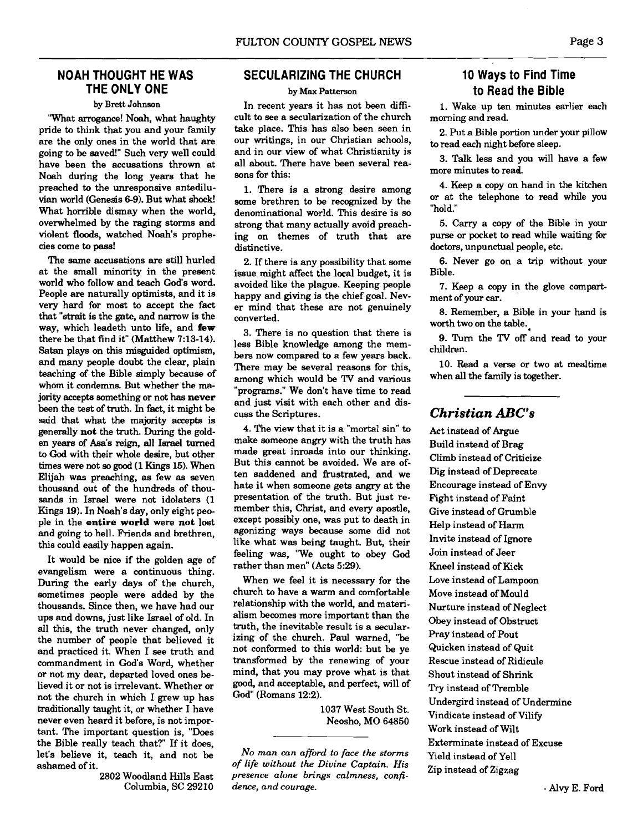#### **NOAH THOUGHT HE WAS THE ONLY ONE**

#### **by Brett Johnson**

'What arrogance! Noah, what haughty pride to think that you and your family are the only ones in the world that are going to be saved!" Such very well could have been the accusations thrown at Noah during the long years that he preached to the unresponsive antediluvian world (Genesis 6-9). But what shock! What horrible dismay when the world, overwhelmed by the raging storms and violent floods, watched Noah's prophecies come to **pass!** 

The same accusations are still hurled at the small minority in the present world who follow and teach God's word. People are naturally optimists, and it is very hard for most to accept the fact that "strait is the gate, and narrow is the way, which leadeth unto life, and **few**  there be that find it" (Matthew 7:13-14). **Satan** plays on this misguided optimism, and many people doubt the clear, plain teaching of the Bible simply because of whom it condemns. But whether the majority accepts something or not has **never**  been the test of truth. In fact, it might be said that what the majority accepts is generally **not** the truth. **During** the golden years of Asa's reign, all Israel turned to God with their whole desire, but other times were not so good (1 Kings 15). When Elijah was preaching, **as** few as seven thousand out of the hundreds of thou**sands** in Israel were not idolaters (1 Kings 19). In Noah's day, only eight people in the **entire world** were **not** lost and going to hell. Friends and brethren, this could easily happen again.

It would be nice if the golden age of evangelism were a continuous thing. During the early days of the church, sometimes people were added by the thousands. Since then, we have had our ups and downs, just like Israel of old. In all this, the truth never changed, only the number of people that believed it and practiced it. When I see truth and commandment in God's Word, whether or not my dear, departed loved ones believed it or not is irrelevant. Whether or not the church in which I grew up has traditionally taught it, or whether I have never even heard it before, is not important. The important question is, "Does the Bible really teach that?" If it does, let's believe it, teach it, and not be ashamed of it.

2802 Woodland Hills East Columbia, SC 29210

#### **SECULARIZING THE CHllRCH**

#### **by Max Patterson**

In recent years it has not been difficult to see a secularization of the church take place. This has also been seen in our writings, in our Christian schools, and in our view of what Christianity is all about. There have been several reasons for this:

1. There is a strong desire among some brethren to be recognized by the denominational world. This desire is so strong that many actually avoid preaching on themes of truth that are distinctive.

2. If there is any possibility that some issue might affect the local budget, it is avoided like the plague. Keeping people happy and giving is the chief goal. Never mind that these are not genuinely converted.

3. There is no question that there is less Bible knowledge among the members now compared to a few years back. There may be several reasons for this, among which would be **TV** and various "programs." We don't have time to read and just visit with each other and discuss the Scriptures.

4. The view that it is a "mortal sin" to make someone angry with the truth has made great inroads into our thinking. But this cannot be avoided. We are often saddened and frustrated. and we hate it when someone gets angry at the presentation of the truth. But just remember this, Christ, and every apostle, except possibly one, was put to death in agonizing ways because some did not like what was being taught. But, their feeling was, "We ought to obey God rather than men" (Acts 5:29).

When we feel it is necessary for the church to have a warm and comfortable relationship with the world, and materialism becomes more important than the truth, the inevitable result is a secularizing of the church. Paul warned, "be not conformed to this world: but be ye transformed by the renewing of your mind, that you may prove what is that good, and acceptable, and perfect, will of God" (Romans 12:2).

> 1037 West South St. Neosho, MO 64850

*No man can afford to face the storms of life without the Divine Captain. His presence alone brings calmness, confidence, and coumge.* 

### **10 Ways to Find Time to Read the Bible**

**1.** Wake up ten minutes earlier each morning and read.

2. Put a Bible portion under your pillow to read each night before sleep.

3. Talk less and you will have a few more minutes to read.

4. Keep a copy on hand in the kitchen or at the telephone to read while you "hold."

5. Carry a copy of the Bible in your purse or pocket to read while waiting for doctors, unpunctual people, etc.

6. Never go on a trip without your Bible.

7. Keep a copy in the glove compartment of your **car.** 

8. Remember, a Bible in your hand is worth two on the table.=

9. Turn the **TV** off and read to your children.

10. Read a verse or two at mealtime when all the family is together.

#### *Christian ABC's*

Act instead of Argue Build instead of Brag Climb instead of Criticize Dig instead of Deprecate Encourage instead of Envy Fight instead of Faint Give instead of Grumble Help instead of **Harm**  Invite instead of Ignore Join instead of Jeer Kneel instead of Kick Love instead of Lampoon Move instead of Mould Nurture instead of Neglect Obey instead of Obstruct Pray instead of Pout Quicken instead of Quit Rescue instead of Ridicule Shout instead of Shrink Try instead of Tremble Undergird instead of Undermine Vindicate instead of Vilify Work instead of Wilt Exterminate instead of Excuse Yield instead of Yell Zip instead of Zigzag